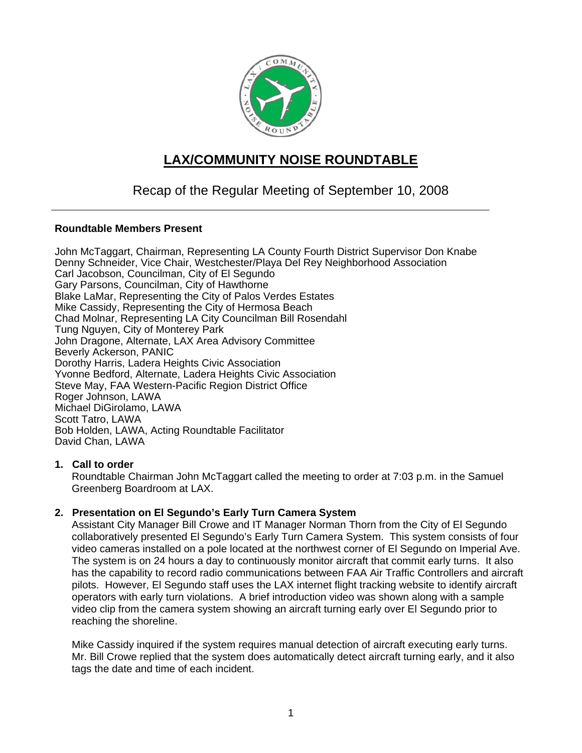

# **LAX/COMMUNITY NOISE ROUNDTABLE**

## Recap of the Regular Meeting of September 10, 2008

## **Roundtable Members Present**

John McTaggart, Chairman, Representing LA County Fourth District Supervisor Don Knabe Denny Schneider, Vice Chair, Westchester/Playa Del Rey Neighborhood Association Carl Jacobson, Councilman, City of El Segundo Gary Parsons, Councilman, City of Hawthorne Blake LaMar, Representing the City of Palos Verdes Estates Mike Cassidy, Representing the City of Hermosa Beach Chad Molnar, Representing LA City Councilman Bill Rosendahl Tung Nguyen, City of Monterey Park John Dragone, Alternate, LAX Area Advisory Committee Beverly Ackerson, PANIC Dorothy Harris, Ladera Heights Civic Association Yvonne Bedford, Alternate, Ladera Heights Civic Association Steve May, FAA Western-Pacific Region District Office Roger Johnson, LAWA Michael DiGirolamo, LAWA Scott Tatro, LAWA Bob Holden, LAWA, Acting Roundtable Facilitator David Chan, LAWA

## **1. Call to order**

Roundtable Chairman John McTaggart called the meeting to order at 7:03 p.m. in the Samuel Greenberg Boardroom at LAX.

## **2. Presentation on El Segundo's Early Turn Camera System**

Assistant City Manager Bill Crowe and IT Manager Norman Thorn from the City of El Segundo collaboratively presented El Segundo's Early Turn Camera System. This system consists of four video cameras installed on a pole located at the northwest corner of El Segundo on Imperial Ave. The system is on 24 hours a day to continuously monitor aircraft that commit early turns. It also has the capability to record radio communications between FAA Air Traffic Controllers and aircraft pilots. However, El Segundo staff uses the LAX internet flight tracking website to identify aircraft operators with early turn violations. A brief introduction video was shown along with a sample video clip from the camera system showing an aircraft turning early over El Segundo prior to reaching the shoreline.

Mike Cassidy inquired if the system requires manual detection of aircraft executing early turns. Mr. Bill Crowe replied that the system does automatically detect aircraft turning early, and it also tags the date and time of each incident.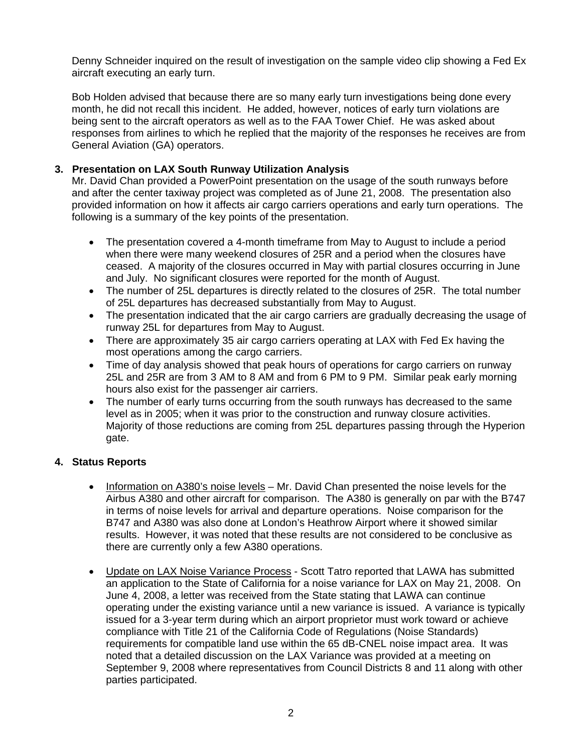Denny Schneider inquired on the result of investigation on the sample video clip showing a Fed Ex aircraft executing an early turn.

Bob Holden advised that because there are so many early turn investigations being done every month, he did not recall this incident. He added, however, notices of early turn violations are being sent to the aircraft operators as well as to the FAA Tower Chief. He was asked about responses from airlines to which he replied that the majority of the responses he receives are from General Aviation (GA) operators.

## **3. Presentation on LAX South Runway Utilization Analysis**

Mr. David Chan provided a PowerPoint presentation on the usage of the south runways before and after the center taxiway project was completed as of June 21, 2008. The presentation also provided information on how it affects air cargo carriers operations and early turn operations. The following is a summary of the key points of the presentation.

- The presentation covered a 4-month timeframe from May to August to include a period when there were many weekend closures of 25R and a period when the closures have ceased. A majority of the closures occurred in May with partial closures occurring in June and July. No significant closures were reported for the month of August.
- The number of 25L departures is directly related to the closures of 25R. The total number of 25L departures has decreased substantially from May to August.
- The presentation indicated that the air cargo carriers are gradually decreasing the usage of runway 25L for departures from May to August.
- There are approximately 35 air cargo carriers operating at LAX with Fed Ex having the most operations among the cargo carriers.
- Time of day analysis showed that peak hours of operations for cargo carriers on runway 25L and 25R are from 3 AM to 8 AM and from 6 PM to 9 PM. Similar peak early morning hours also exist for the passenger air carriers.
- The number of early turns occurring from the south runways has decreased to the same level as in 2005; when it was prior to the construction and runway closure activities. Majority of those reductions are coming from 25L departures passing through the Hyperion gate.

## **4. Status Reports**

- Information on A380's noise levels Mr. David Chan presented the noise levels for the Airbus A380 and other aircraft for comparison. The A380 is generally on par with the B747 in terms of noise levels for arrival and departure operations. Noise comparison for the B747 and A380 was also done at London's Heathrow Airport where it showed similar results. However, it was noted that these results are not considered to be conclusive as there are currently only a few A380 operations.
- Update on LAX Noise Variance Process Scott Tatro reported that LAWA has submitted an application to the State of California for a noise variance for LAX on May 21, 2008. On June 4, 2008, a letter was received from the State stating that LAWA can continue operating under the existing variance until a new variance is issued. A variance is typically issued for a 3-year term during which an airport proprietor must work toward or achieve compliance with Title 21 of the California Code of Regulations (Noise Standards) requirements for compatible land use within the 65 dB-CNEL noise impact area. It was noted that a detailed discussion on the LAX Variance was provided at a meeting on September 9, 2008 where representatives from Council Districts 8 and 11 along with other parties participated.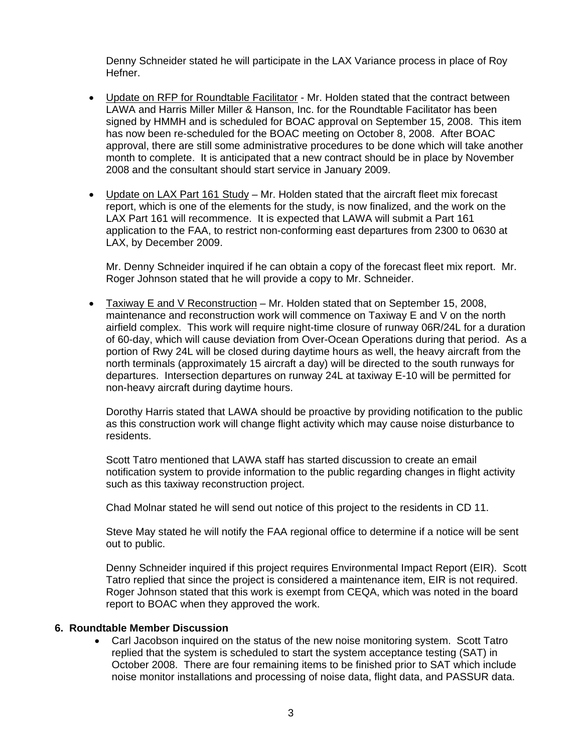Denny Schneider stated he will participate in the LAX Variance process in place of Roy Hefner.

- Update on RFP for Roundtable Facilitator Mr. Holden stated that the contract between LAWA and Harris Miller Miller & Hanson, Inc. for the Roundtable Facilitator has been signed by HMMH and is scheduled for BOAC approval on September 15, 2008. This item has now been re-scheduled for the BOAC meeting on October 8, 2008. After BOAC approval, there are still some administrative procedures to be done which will take another month to complete. It is anticipated that a new contract should be in place by November 2008 and the consultant should start service in January 2009.
- Update on LAX Part 161 Study Mr. Holden stated that the aircraft fleet mix forecast report, which is one of the elements for the study, is now finalized, and the work on the LAX Part 161 will recommence. It is expected that LAWA will submit a Part 161 application to the FAA, to restrict non-conforming east departures from 2300 to 0630 at LAX, by December 2009.

Mr. Denny Schneider inquired if he can obtain a copy of the forecast fleet mix report. Mr. Roger Johnson stated that he will provide a copy to Mr. Schneider.

• Taxiway E and V Reconstruction – Mr. Holden stated that on September 15, 2008, maintenance and reconstruction work will commence on Taxiway E and V on the north airfield complex. This work will require night-time closure of runway 06R/24L for a duration of 60-day, which will cause deviation from Over-Ocean Operations during that period. As a portion of Rwy 24L will be closed during daytime hours as well, the heavy aircraft from the north terminals (approximately 15 aircraft a day) will be directed to the south runways for departures. Intersection departures on runway 24L at taxiway E-10 will be permitted for non-heavy aircraft during daytime hours.

Dorothy Harris stated that LAWA should be proactive by providing notification to the public as this construction work will change flight activity which may cause noise disturbance to residents.

Scott Tatro mentioned that LAWA staff has started discussion to create an email notification system to provide information to the public regarding changes in flight activity such as this taxiway reconstruction project.

Chad Molnar stated he will send out notice of this project to the residents in CD 11.

Steve May stated he will notify the FAA regional office to determine if a notice will be sent out to public.

Denny Schneider inquired if this project requires Environmental Impact Report (EIR). Scott Tatro replied that since the project is considered a maintenance item, EIR is not required. Roger Johnson stated that this work is exempt from CEQA, which was noted in the board report to BOAC when they approved the work.

#### **6. Roundtable Member Discussion**

• Carl Jacobson inquired on the status of the new noise monitoring system. Scott Tatro replied that the system is scheduled to start the system acceptance testing (SAT) in October 2008. There are four remaining items to be finished prior to SAT which include noise monitor installations and processing of noise data, flight data, and PASSUR data.